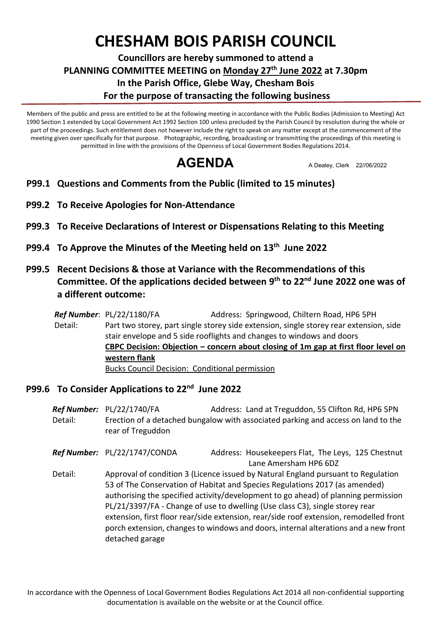## **CHESHAM BOIS PARISH COUNCIL**

## **Councillors are hereby summoned to attend a PLANNING COMMITTEE MEETING on Monday 27th June 2022 at 7.30pm In the Parish Office, Glebe Way, Chesham Bois For the purpose of transacting the following business**

Members of the public and press are entitled to be at the following meeting in accordance with the Public Bodies (Admission to Meeting) Act 1990 Section 1 extended by Local Government Act 1992 Section 100 unless precluded by the Parish Council by resolution during the whole or part of the proceedings. Such entitlement does not however include the right to speak on any matter except at the commencement of the meeting given over specifically for that purpose. Photographic, recording, broadcasting or transmitting the proceedings of this meeting is permitted in line with the provisions of the Openness of Local Government Bodies Regulations 2014.

**AGENDA** A Dealey, Clerk 22//06/2022

- **<sup>P</sup>P99.1 Questions and Comments from the Public (limited to 15 minutes)**
- **P99.2 To Receive Apologies for Non-Attendance**
- **P99.3 To Receive Declarations of Interest or Dispensations Relating to this Meeting**
- **P99.4 To Approve the Minutes of the Meeting held on 13th June 2022**
- **P99.5 Recent Decisions & those at Variance with the Recommendations of this Committee. Of the applications decided between 9 th to 22nd June 2022 one was of a different outcome:**

*Ref Number*: PL/22/1180/FA Address: Springwood, Chiltern Road, HP6 5PH Detail: Part two storey, part single storey side extension, single storey rear extension, side stair envelope and 5 side rooflights and changes to windows and doors **CBPC Decision: Objection – concern about closing of 1m gap at first floor level on western flank** Bucks Council Decision: Conditional permission

## **P99.6 To Consider Applications to 22nd June 2022**

**Ref Number:** PL/22/1740/FA **Address: Land at Treguddon, 55 Clifton Rd, HP6 5PN** Detail: Erection of a detached bungalow with associated parking and access on land to the rear of Treguddon

*Ref Number:* PL/22/1747/CONDA Address: Housekeepers Flat, The Leys, 125 Chestnut Lane Amersham HP6 6DZ

Detail: Approval of condition 3 (Licence issued by Natural England pursuant to Regulation 53 of The Conservation of Habitat and Species Regulations 2017 (as amended) authorising the specified activity/development to go ahead) of planning permission PL/21/3397/FA - Change of use to dwelling (Use class C3), single storey rear extension, first floor rear/side extension, rear/side roof extension, remodelled front porch extension, changes to windows and doors, internal alterations and a new front detached garage